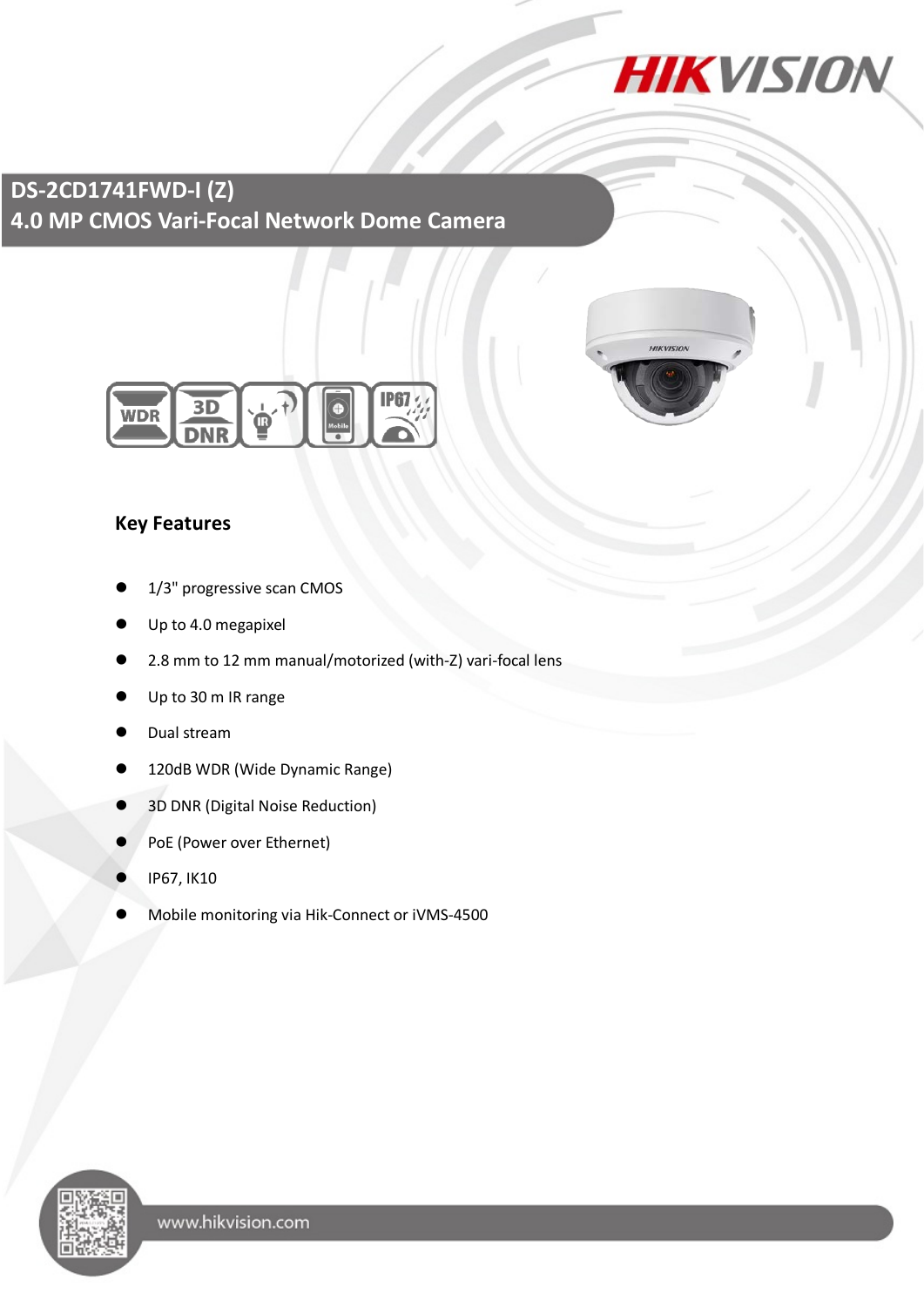

**HIKVISIO** 

**DS-2CD1741FWD-I (Z) 4.0 MP CMOS Vari-Focal Network Dome Camera**



### **Key Features**

- 1/3" progressive scan CMOS
- Up to 4.0 megapixel
- 2.8 mm to 12 mm manual/motorized (with-Z) vari-focal lens
- Up to 30 m IR range
- Dual stream
- 120dB WDR (Wide Dynamic Range)
- 3D DNR (Digital Noise Reduction)
- PoE (Power over Ethernet)
- IP67, IK10
- Mobile monitoring via Hik-Connect or iVMS-4500

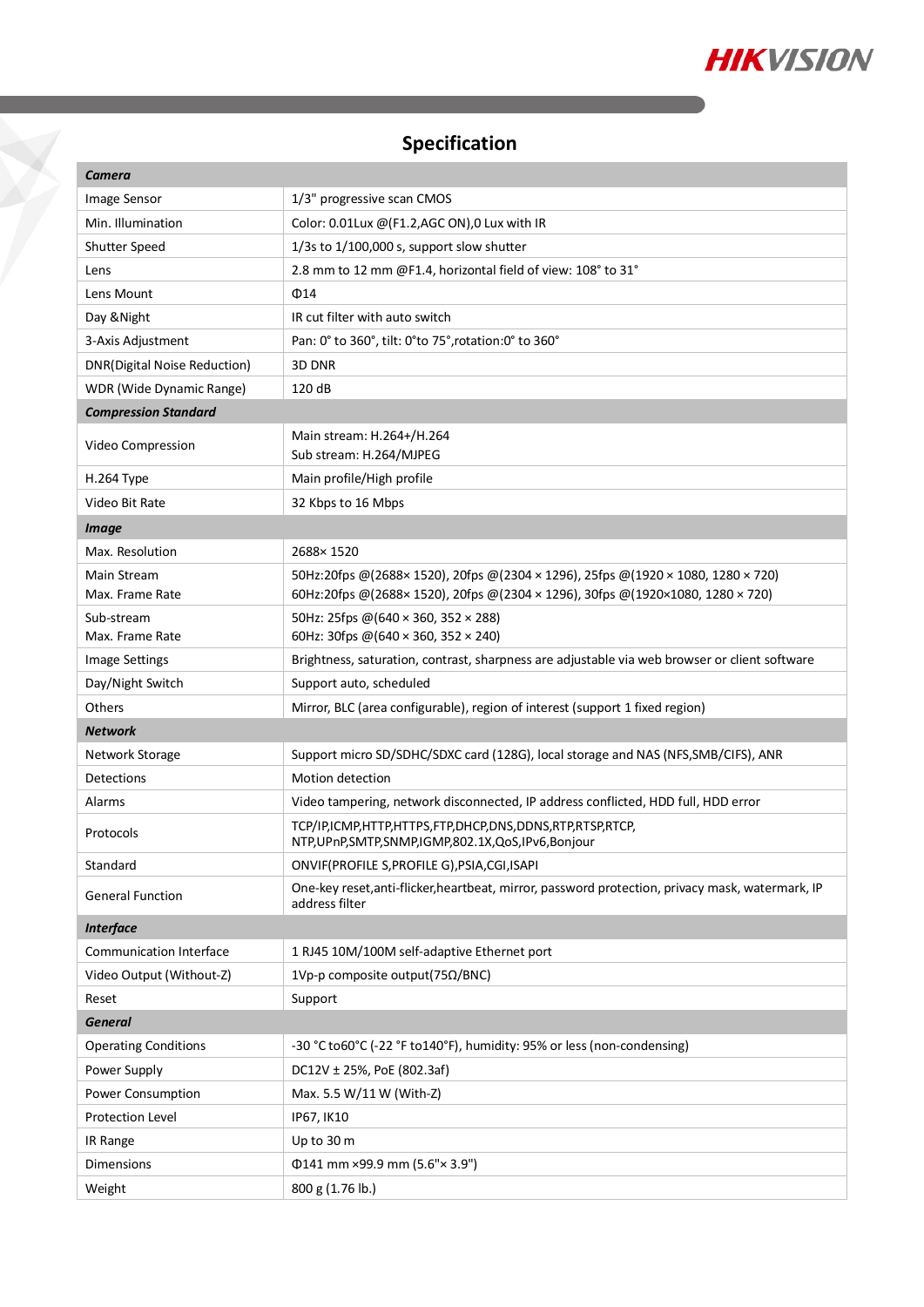

# **Specification**

X

| <b>Camera</b>                       |                                                                                                                                                              |
|-------------------------------------|--------------------------------------------------------------------------------------------------------------------------------------------------------------|
| Image Sensor                        | 1/3" progressive scan CMOS                                                                                                                                   |
| Min. Illumination                   | Color: 0.01Lux @(F1.2,AGC ON),0 Lux with IR                                                                                                                  |
| Shutter Speed                       | 1/3s to 1/100,000 s, support slow shutter                                                                                                                    |
| Lens                                | 2.8 mm to 12 mm @F1.4, horizontal field of view: 108° to 31°                                                                                                 |
| Lens Mount                          | $\Phi$ 14                                                                                                                                                    |
| Day & Night                         | IR cut filter with auto switch                                                                                                                               |
| 3-Axis Adjustment                   | Pan: 0° to 360°, tilt: 0°to 75°, rotation: 0° to 360°                                                                                                        |
| <b>DNR(Digital Noise Reduction)</b> | 3D DNR                                                                                                                                                       |
| WDR (Wide Dynamic Range)            | 120 dB                                                                                                                                                       |
| <b>Compression Standard</b>         |                                                                                                                                                              |
| Video Compression                   | Main stream: H.264+/H.264<br>Sub stream: H.264/MJPEG                                                                                                         |
| H.264 Type                          | Main profile/High profile                                                                                                                                    |
| Video Bit Rate                      | 32 Kbps to 16 Mbps                                                                                                                                           |
| <b>Image</b>                        |                                                                                                                                                              |
| Max. Resolution                     | 2688×1520                                                                                                                                                    |
| Main Stream<br>Max. Frame Rate      | 50Hz:20fps @(2688×1520), 20fps @(2304 × 1296), 25fps @(1920 × 1080, 1280 × 720)<br>60Hz:20fps @(2688×1520), 20fps @(2304×1296), 30fps @(1920×1080, 1280×720) |
| Sub-stream                          | 50Hz: 25fps @(640 × 360, 352 × 288)                                                                                                                          |
| Max. Frame Rate                     | 60Hz: 30fps @(640 × 360, 352 × 240)                                                                                                                          |
| <b>Image Settings</b>               | Brightness, saturation, contrast, sharpness are adjustable via web browser or client software                                                                |
| Day/Night Switch                    | Support auto, scheduled                                                                                                                                      |
| Others                              | Mirror, BLC (area configurable), region of interest (support 1 fixed region)                                                                                 |
| <b>Network</b>                      |                                                                                                                                                              |
| Network Storage                     | Support micro SD/SDHC/SDXC card (128G), local storage and NAS (NFS, SMB/CIFS), ANR                                                                           |
| Detections                          | Motion detection                                                                                                                                             |
| Alarms                              | Video tampering, network disconnected, IP address conflicted, HDD full, HDD error                                                                            |
| Protocols                           | TCP/IP,ICMP,HTTP,HTTPS,FTP,DHCP,DNS,DDNS,RTP,RTSP,RTCP,<br>NTP, UPnP, SMTP, SNMP, IGMP, 802.1X, QoS, IPv6, Bonjour                                           |
| Standard                            | ONVIF(PROFILE S, PROFILE G), PSIA, CGI, ISAPI                                                                                                                |
| <b>General Function</b>             | One-key reset, anti-flicker, heartbeat, mirror, password protection, privacy mask, watermark, IP<br>address filter                                           |
| <b>Interface</b>                    |                                                                                                                                                              |
| Communication Interface             | 1 RJ45 10M/100M self-adaptive Ethernet port                                                                                                                  |
| Video Output (Without-Z)            | 1Vp-p composite output(75Ω/BNC)                                                                                                                              |
| Reset                               | Support                                                                                                                                                      |
| <b>General</b>                      |                                                                                                                                                              |
| <b>Operating Conditions</b>         | -30 °C to60°C (-22 °F to140°F), humidity: 95% or less (non-condensing)                                                                                       |
| Power Supply                        | DC12V ± 25%, PoE (802.3af)                                                                                                                                   |
| Power Consumption                   | Max. 5.5 W/11 W (With-Z)                                                                                                                                     |
| Protection Level                    | IP67, IK10                                                                                                                                                   |
| IR Range                            | Up to 30 m                                                                                                                                                   |
| Dimensions                          | Φ141 mm ×99.9 mm (5.6"×3.9")                                                                                                                                 |
| Weight                              | 800 g (1.76 lb.)                                                                                                                                             |